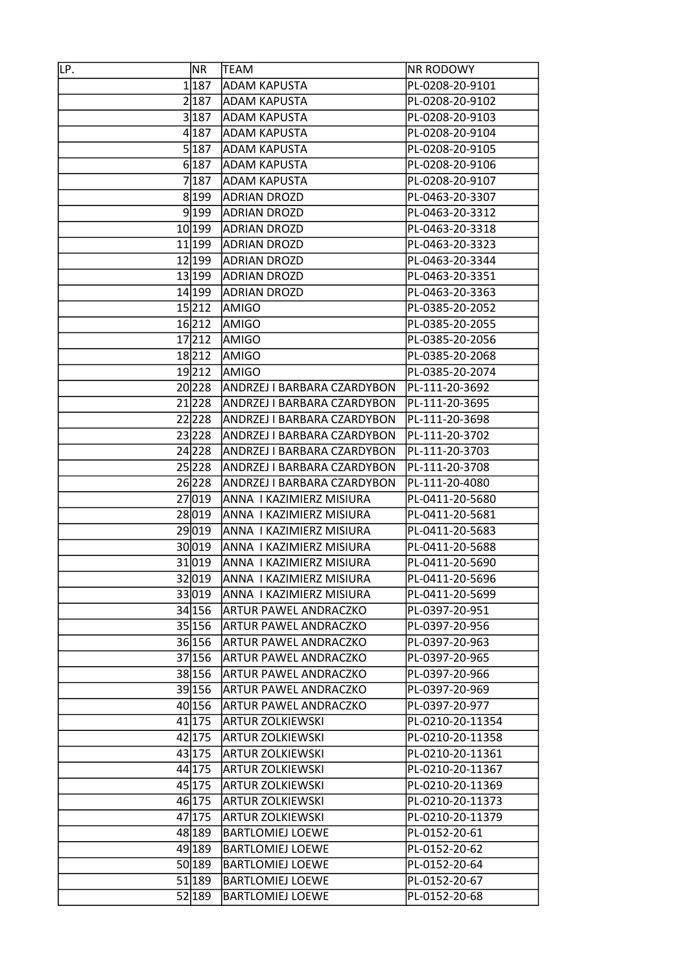| IГP. | NR     | TEAM                                | <b>NR RODOWY</b> |
|------|--------|-------------------------------------|------------------|
|      | 1 187  | <b>ADAM KAPUSTA</b>                 | PL-0208-20-9101  |
|      | 2187   | <b>ADAM KAPUSTA</b>                 | PL-0208-20-9102  |
|      | 3 187  | <b>ADAM KAPUSTA</b>                 | PL-0208-20-9103  |
|      | 4 187  | <b>ADAM KAPUSTA</b>                 | PL-0208-20-9104  |
|      | 5 187  | <b>ADAM KAPUSTA</b>                 | PL-0208-20-9105  |
|      | 6 187  | <b>ADAM KAPUSTA</b>                 | PL-0208-20-9106  |
|      | 7187   | <b>ADAM KAPUSTA</b>                 | PL-0208-20-9107  |
|      | 8 199  | <b>ADRIAN DROZD</b>                 | PL-0463-20-3307  |
|      |        | 9199 ADRIAN DROZD                   | PL-0463-20-3312  |
|      | 10 199 | <b>ADRIAN DROZD</b>                 | PL-0463-20-3318  |
|      | 11 199 | <b>ADRIAN DROZD</b>                 | PL-0463-20-3323  |
|      | 12 199 | <b>ADRIAN DROZD</b>                 | PL-0463-20-3344  |
|      | 13 199 | <b>ADRIAN DROZD</b>                 | PL-0463-20-3351  |
|      | 14 199 | <b>ADRIAN DROZD</b>                 | PL-0463-20-3363  |
|      | 15212  | <b>AMIGO</b>                        | PL-0385-20-2052  |
|      | 16 212 | <b>AMIGO</b>                        | PL-0385-20-2055  |
|      | 17 212 | AMIGO                               | PL-0385-20-2056  |
|      | 18212  | <b>AMIGO</b>                        | PL-0385-20-2068  |
|      | 19212  | AMIGO                               | PL-0385-20-2074  |
|      | 20 228 | ANDRZEJ I BARBARA CZARDYBON         | PL-111-20-3692   |
|      |        | 21 228  ANDRZEJ I BARBARA CZARDYBON | PL-111-20-3695   |
|      | 22228  | ANDRZEJ I BARBARA CZARDYBON         | PL-111-20-3698   |
|      | 23228  | ANDRZEJ I BARBARA CZARDYBON         | PL-111-20-3702   |
|      | 24 228 | ANDRZEJ I BARBARA CZARDYBON         | PL-111-20-3703   |
|      | 25 228 | ANDRZEJ I BARBARA CZARDYBON         | PL-111-20-3708   |
|      | 26 228 | ANDRZEJ I BARBARA CZARDYBON         | PL-111-20-4080   |
|      | 27 019 | ANNA I KAZIMIERZ MISIURA            | PL-0411-20-5680  |
|      | 28 019 | ANNA I KAZIMIERZ MISIURA            | PL-0411-20-5681  |
|      | 29 019 | ANNA I KAZIMIERZ MISIURA            | PL-0411-20-5683  |
|      | 30 019 | ANNA I KAZIMIERZ MISIURA            | PL-0411-20-5688  |
|      | 31 019 | ANNA I KAZIMIERZ MISIURA            | PL-0411-20-5690  |
|      |        | 32019 ANNA I KAZIMIERZ MISIURA      | PL-0411-20-5696  |
|      |        | 33019 ANNA I KAZIMIERZ MISIURA      | PL-0411-20-5699  |
|      | 34 156 | <b>ARTUR PAWEL ANDRACZKO</b>        | PL-0397-20-951   |
|      | 35 156 | <b>ARTUR PAWEL ANDRACZKO</b>        | PL-0397-20-956   |
|      | 36 156 | <b>ARTUR PAWEL ANDRACZKO</b>        | PL-0397-20-963   |
|      | 37 156 | ARTUR PAWEL ANDRACZKO               | PL-0397-20-965   |
|      | 38 156 | <b>ARTUR PAWEL ANDRACZKO</b>        | PL-0397-20-966   |
|      | 39 156 | <b>ARTUR PAWEL ANDRACZKO</b>        | PL-0397-20-969   |
|      | 40 156 | <b>ARTUR PAWEL ANDRACZKO</b>        | PL-0397-20-977   |
|      | 41 175 | <b>ARTUR ZOLKIEWSKI</b>             | PL-0210-20-11354 |
|      | 42 175 | <b>ARTUR ZOLKIEWSKI</b>             | PL-0210-20-11358 |
|      | 43 175 | <b>ARTUR ZOLKIEWSKI</b>             | PL-0210-20-11361 |
|      | 44 175 | <b>ARTUR ZOLKIEWSKI</b>             | PL-0210-20-11367 |
|      | 45 175 | <b>ARTUR ZOLKIEWSKI</b>             | PL-0210-20-11369 |
|      | 46 175 | <b>ARTUR ZOLKIEWSKI</b>             | PL-0210-20-11373 |
|      | 47 175 | <b>ARTUR ZOLKIEWSKI</b>             | PL-0210-20-11379 |
|      | 48 189 | <b>BARTLOMIEJ LOEWE</b>             | PL-0152-20-61    |
|      | 49 189 | <b>BARTLOMIEJ LOEWE</b>             | PL-0152-20-62    |
|      | 50 189 | <b>BARTLOMIEJ LOEWE</b>             | PL-0152-20-64    |
|      | 51 189 | <b>BARTLOMIEJ LOEWE</b>             | PL-0152-20-67    |
|      | 52 189 | <b>BARTLOMIEJ LOEWE</b>             | PL-0152-20-68    |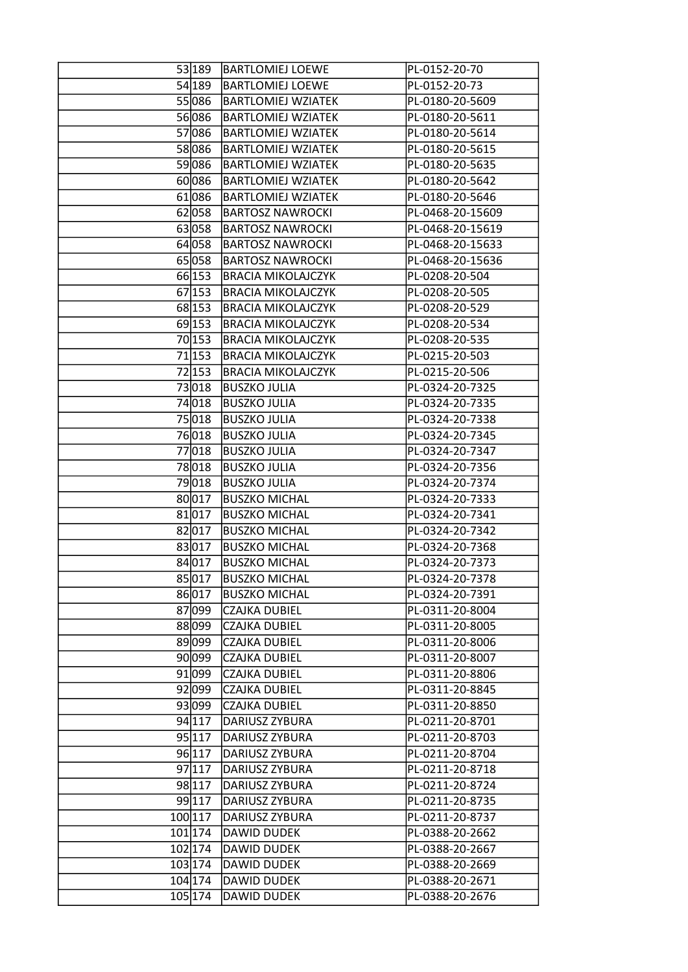|           | 53 189  BARTLOMIEJ LOEWE  | PL-0152-20-70    |
|-----------|---------------------------|------------------|
| 54 189    | <b>BARTLOMIEJ LOEWE</b>   | PL-0152-20-73    |
| 55086     | <b>BARTLOMIEJ WZIATEK</b> | PL-0180-20-5609  |
| 56086     | <b>BARTLOMIEJ WZIATEK</b> | PL-0180-20-5611  |
| 57086     | <b>BARTLOMIEJ WZIATEK</b> | PL-0180-20-5614  |
| 58 086    | <b>BARTLOMIEJ WZIATEK</b> | PL-0180-20-5615  |
| 59086     | <b>BARTLOMIEJ WZIATEK</b> | PL-0180-20-5635  |
| 60086     | <b>BARTLOMIEJ WZIATEK</b> | PL-0180-20-5642  |
| 61086     | <b>BARTLOMIEJ WZIATEK</b> | PL-0180-20-5646  |
| 62 058    | <b>BARTOSZ NAWROCKI</b>   | PL-0468-20-15609 |
| 63 058    | <b>BARTOSZ NAWROCKI</b>   | PL-0468-20-15619 |
| 64 058    | <b>BARTOSZ NAWROCKI</b>   | PL-0468-20-15633 |
| 65058     | <b>BARTOSZ NAWROCKI</b>   | PL-0468-20-15636 |
| 66 153    | <b>BRACIA MIKOLAJCZYK</b> | PL-0208-20-504   |
| 67 153    | <b>BRACIA MIKOLAJCZYK</b> | PL-0208-20-505   |
| 68 153    | <b>BRACIA MIKOLAJCZYK</b> | PL-0208-20-529   |
| 69 153    | <b>BRACIA MIKOLAJCZYK</b> | PL-0208-20-534   |
| 70 153    | <b>BRACIA MIKOLAJCZYK</b> | PL-0208-20-535   |
| 71 153    | <b>BRACIA MIKOLAJCZYK</b> | PL-0215-20-503   |
| 72 153    | <b>BRACIA MIKOLAJCZYK</b> | PL-0215-20-506   |
| 73018     | <b>BUSZKO JULIA</b>       | PL-0324-20-7325  |
| 74 018    | <b>BUSZKO JULIA</b>       | PL-0324-20-7335  |
| 75018     | <b>BUSZKO JULIA</b>       | PL-0324-20-7338  |
| 76018     | <b>BUSZKO JULIA</b>       | PL-0324-20-7345  |
| 77018     | <b>BUSZKO JULIA</b>       | PL-0324-20-7347  |
| 78 018    | <b>BUSZKO JULIA</b>       | PL-0324-20-7356  |
| 79018     | <b>BUSZKO JULIA</b>       | PL-0324-20-7374  |
| 80 017    | <b>BUSZKO MICHAL</b>      | PL-0324-20-7333  |
| 81 017    | <b>BUSZKO MICHAL</b>      | PL-0324-20-7341  |
| 82 017    | <b>BUSZKO MICHAL</b>      | PL-0324-20-7342  |
| 83 017    | <b>BUSZKO MICHAL</b>      | PL-0324-20-7368  |
| 84 017    | <b>BUSZKO MICHAL</b>      | PL-0324-20-7373  |
| 85 017    | <b>BUSZKO MICHAL</b>      | PL-0324-20-7378  |
| 86017     | <b>BUSZKO MICHAL</b>      | PL-0324-20-7391  |
| 87 099    | <b>CZAJKA DUBIEL</b>      | PL-0311-20-8004  |
| 88 099    | <b>CZAJKA DUBIEL</b>      | PL-0311-20-8005  |
| 89 099    | <b>CZAJKA DUBIEL</b>      | PL-0311-20-8006  |
| 90 099    | <b>CZAJKA DUBIEL</b>      | PL-0311-20-8007  |
| 91 099    | <b>CZAJKA DUBIEL</b>      | PL-0311-20-8806  |
| 92 099    | <b>CZAJKA DUBIEL</b>      | PL-0311-20-8845  |
| 93 099    | <b>CZAJKA DUBIEL</b>      | PL-0311-20-8850  |
| 94 117    | DARIUSZ ZYBURA            | PL-0211-20-8701  |
| 95 117    | DARIUSZ ZYBURA            | PL-0211-20-8703  |
| 96 117    | DARIUSZ ZYBURA            | PL-0211-20-8704  |
| 97 117    | DARIUSZ ZYBURA            | PL-0211-20-8718  |
| 98 117    | DARIUSZ ZYBURA            | PL-0211-20-8724  |
| 99 117    | DARIUSZ ZYBURA            | PL-0211-20-8735  |
| 100 117   | DARIUSZ ZYBURA            | PL-0211-20-8737  |
| $101$ 174 | DAWID DUDEK               | PL-0388-20-2662  |
| 102 174   | DAWID DUDEK               | PL-0388-20-2667  |
| 103 174   | DAWID DUDEK               | PL-0388-20-2669  |
| 104 174   | DAWID DUDEK               | PL-0388-20-2671  |
| 105 174   | DAWID DUDEK               | PL-0388-20-2676  |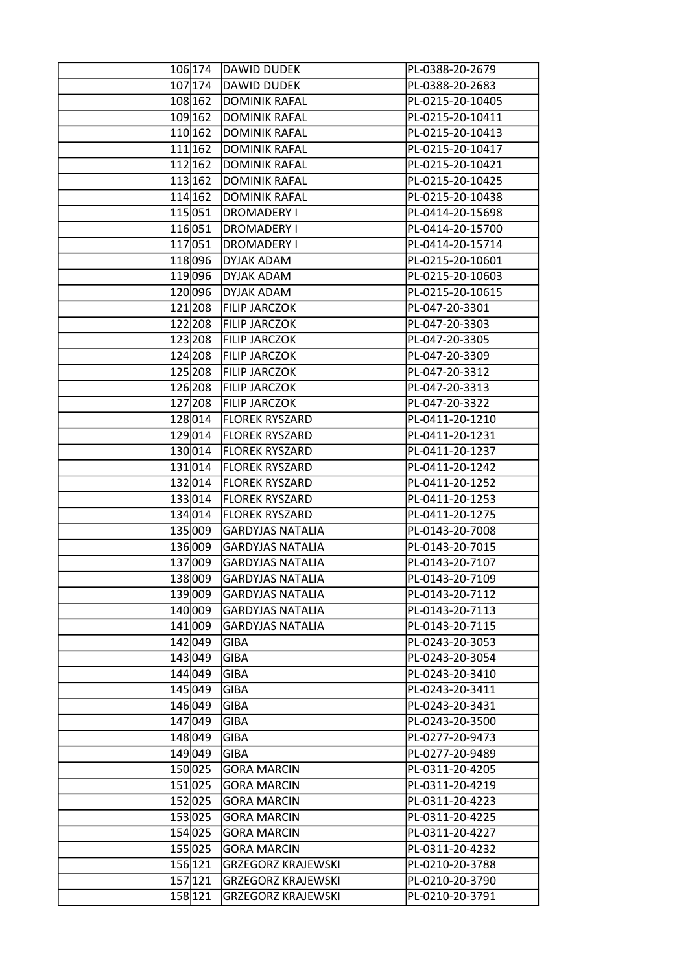|         | 106174 DAWID DUDEK        | PL-0388-20-2679  |
|---------|---------------------------|------------------|
| 107 174 | DAWID DUDEK               | PL-0388-20-2683  |
| 108 162 | <b>DOMINIK RAFAL</b>      | PL-0215-20-10405 |
| 109 162 | DOMINIK RAFAL             | PL-0215-20-10411 |
| 110 162 | DOMINIK RAFAL             | PL-0215-20-10413 |
| 111 162 | DOMINIK RAFAL             | PL-0215-20-10417 |
| 112 162 | <b>DOMINIK RAFAL</b>      | PL-0215-20-10421 |
| 113 162 | DOMINIK RAFAL             | PL-0215-20-10425 |
| 114 162 | DOMINIK RAFAL             | PL-0215-20-10438 |
| 115 051 | <b>DROMADERY I</b>        | PL-0414-20-15698 |
| 116051  | DROMADERY I               | PL-0414-20-15700 |
| 117 051 | <b>DROMADERY I</b>        | PL-0414-20-15714 |
| 118 096 | <b>DYJAK ADAM</b>         | PL-0215-20-10601 |
| 119 096 | <b>DYJAK ADAM</b>         | PL-0215-20-10603 |
| 120096  | <b>DYJAK ADAM</b>         | PL-0215-20-10615 |
| 121208  | <b>FILIP JARCZOK</b>      | PL-047-20-3301   |
| 122 208 | <b>FILIP JARCZOK</b>      | PL-047-20-3303   |
| 123 208 | <b>FILIP JARCZOK</b>      | PL-047-20-3305   |
| 124 208 | <b>FILIP JARCZOK</b>      | PL-047-20-3309   |
| 125 208 | <b>FILIP JARCZOK</b>      | PL-047-20-3312   |
| 126 208 | <b>FILIP JARCZOK</b>      | PL-047-20-3313   |
| 127 208 | <b>FILIP JARCZOK</b>      | PL-047-20-3322   |
| 128 014 | <b>FLOREK RYSZARD</b>     | PL-0411-20-1210  |
| 129014  | <b>FLOREK RYSZARD</b>     | PL-0411-20-1231  |
| 130 014 | <b>FLOREK RYSZARD</b>     | PL-0411-20-1237  |
| 131 014 | <b>FLOREK RYSZARD</b>     | PL-0411-20-1242  |
| 132 014 | <b>FLOREK RYSZARD</b>     | PL-0411-20-1252  |
| 133014  | <b>FLOREK RYSZARD</b>     | PL-0411-20-1253  |
| 134 014 | <b>FLOREK RYSZARD</b>     | PL-0411-20-1275  |
| 135 009 | <b>GARDYJAS NATALIA</b>   | PL-0143-20-7008  |
| 136 009 | <b>GARDYJAS NATALIA</b>   | PL-0143-20-7015  |
| 137 009 | <b>GARDYJAS NATALIA</b>   | PL-0143-20-7107  |
| 138009  | <b>GARDYJAS NATALIA</b>   | PL-0143-20-7109  |
|         | 139009 GARDYJAS NATALIA   | PL-0143-20-7112  |
| 140 009 | <b>GARDYJAS NATALIA</b>   | PL-0143-20-7113  |
| 141 009 | <b>GARDYJAS NATALIA</b>   | PL-0143-20-7115  |
| 142 049 | <b>GIBA</b>               | PL-0243-20-3053  |
| 143 049 | <b>GIBA</b>               | PL-0243-20-3054  |
| 144 049 | <b>GIBA</b>               | PL-0243-20-3410  |
| 145 049 | <b>GIBA</b>               | PL-0243-20-3411  |
| 146 049 | <b>GIBA</b>               | PL-0243-20-3431  |
| 147 049 | <b>GIBA</b>               | PL-0243-20-3500  |
| 148 049 | <b>GIBA</b>               | PL-0277-20-9473  |
| 149 049 | <b>GIBA</b>               | PL-0277-20-9489  |
| 150025  | <b>GORA MARCIN</b>        | PL-0311-20-4205  |
| 151 025 | <b>GORA MARCIN</b>        | PL-0311-20-4219  |
| 152025  | <b>GORA MARCIN</b>        | PL-0311-20-4223  |
| 153025  | <b>GORA MARCIN</b>        | PL-0311-20-4225  |
| 154 025 | <b>GORA MARCIN</b>        | PL-0311-20-4227  |
| 155025  | <b>GORA MARCIN</b>        | PL-0311-20-4232  |
| 156 121 | <b>GRZEGORZ KRAJEWSKI</b> | PL-0210-20-3788  |
| 157 121 | <b>GRZEGORZ KRAJEWSKI</b> | PL-0210-20-3790  |
| 158 121 | <b>GRZEGORZ KRAJEWSKI</b> | PL-0210-20-3791  |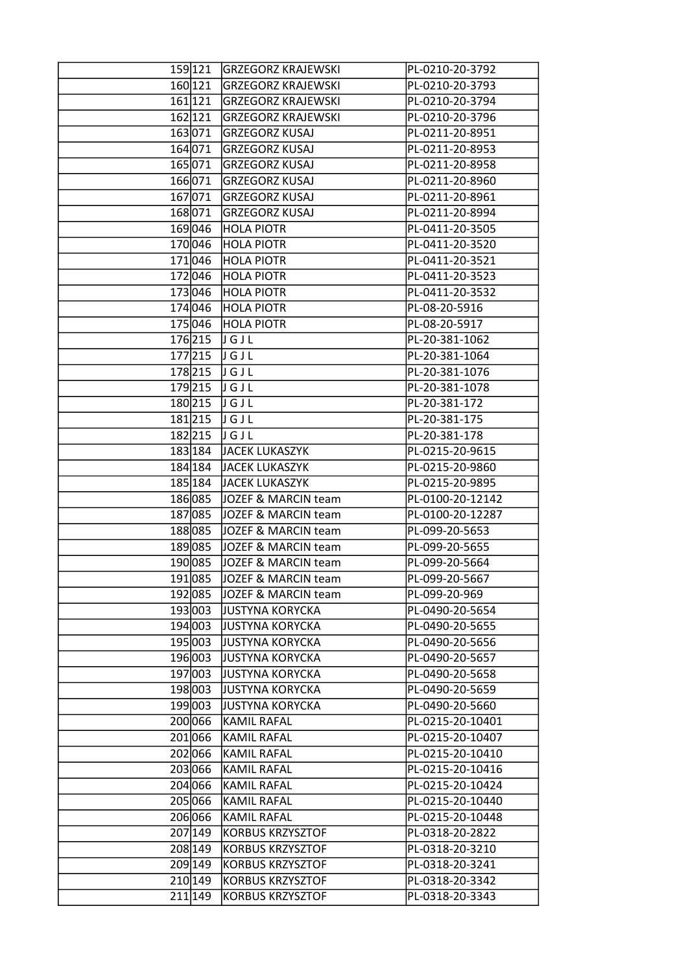|            | 159121 GRZEGORZ KRAJEWSKI | PL-0210-20-3792  |
|------------|---------------------------|------------------|
| 160 121    | <b>GRZEGORZ KRAJEWSKI</b> | PL-0210-20-3793  |
| 161 121    | <b>GRZEGORZ KRAJEWSKI</b> | PL-0210-20-3794  |
| 162 121    | <b>GRZEGORZ KRAJEWSKI</b> | PL-0210-20-3796  |
| 163071     | <b>GRZEGORZ KUSAJ</b>     | PL-0211-20-8951  |
| 164 071    | <b>GRZEGORZ KUSAJ</b>     | PL-0211-20-8953  |
| 165071     | <b>GRZEGORZ KUSAJ</b>     | PL-0211-20-8958  |
| 166071     | <b>GRZEGORZ KUSAJ</b>     | PL-0211-20-8960  |
| 167071     | <b>GRZEGORZ KUSAJ</b>     | PL-0211-20-8961  |
| 168071     | <b>GRZEGORZ KUSAJ</b>     | PL-0211-20-8994  |
| 169046     | <b>HOLA PIOTR</b>         | PL-0411-20-3505  |
| 170046     | <b>HOLA PIOTR</b>         | PL-0411-20-3520  |
| 171046     | <b>HOLA PIOTR</b>         | PL-0411-20-3521  |
| 172046     | <b>HOLA PIOTR</b>         | PL-0411-20-3523  |
| 173046     | <b>HOLA PIOTR</b>         | PL-0411-20-3532  |
| 174046     | <b>HOLA PIOTR</b>         | PL-08-20-5916    |
|            |                           |                  |
| 175046     | <b>HOLA PIOTR</b>         | PL-08-20-5917    |
| 176 215    | JGJL                      | PL-20-381-1062   |
| $177$  215 | JGJL                      | PL-20-381-1064   |
| 178 215    | JGJL                      | PL-20-381-1076   |
| 179215     | JGJL                      | PL-20-381-1078   |
|            | 180215 JGJL               | PL-20-381-172    |
| 181215     | JGJL                      | PL-20-381-175    |
| 182215     | JGJL                      | PL-20-381-178    |
| 183 184    | JACEK LUKASZYK            | PL-0215-20-9615  |
| 184 184    | JACEK LUKASZYK            | PL-0215-20-9860  |
| 185 184    | JACEK LUKASZYK            | PL-0215-20-9895  |
| 186085     | JOZEF & MARCIN team       | PL-0100-20-12142 |
| 187085     | JOZEF & MARCIN team       | PL-0100-20-12287 |
| 188085     | JOZEF & MARCIN team       | PL-099-20-5653   |
| 189085     | JOZEF & MARCIN team       | PL-099-20-5655   |
| 190085     | JOZEF & MARCIN team       | PL-099-20-5664   |
| 191085     | JOZEF & MARCIN team       | PL-099-20-5667   |
| 192 085    | JOZEF & MARCIN team       | PL-099-20-969    |
| 193 003    | <b>JUSTYNA KORYCKA</b>    | PL-0490-20-5654  |
| 194 003    | <b>JUSTYNA KORYCKA</b>    | PL-0490-20-5655  |
| 195 003    | <b>JUSTYNA KORYCKA</b>    | PL-0490-20-5656  |
| 196003     | <b>JUSTYNA KORYCKA</b>    | PL-0490-20-5657  |
| 197 003    | <b>JUSTYNA KORYCKA</b>    | PL-0490-20-5658  |
| 198 003    | <b>JUSTYNA KORYCKA</b>    | PL-0490-20-5659  |
| 199003     | <b>JUSTYNA KORYCKA</b>    | PL-0490-20-5660  |
| 200066     | KAMIL RAFAL               | PL-0215-20-10401 |
| 201066     | KAMIL RAFAL               | PL-0215-20-10407 |
| 202066     | <b>KAMIL RAFAL</b>        | PL-0215-20-10410 |
| 203066     | KAMIL RAFAL               | PL-0215-20-10416 |
| 204 066    | <b>KAMIL RAFAL</b>        | PL-0215-20-10424 |
| 205066     | KAMIL RAFAL               | PL-0215-20-10440 |
| 206066     | KAMIL RAFAL               | PL-0215-20-10448 |
| 207 149    | KORBUS KRZYSZTOF          | PL-0318-20-2822  |
| 208 149    | <b>KORBUS KRZYSZTOF</b>   | PL-0318-20-3210  |
| 209 149    | <b>KORBUS KRZYSZTOF</b>   | PL-0318-20-3241  |
| 210 149    | KORBUS KRZYSZTOF          | PL-0318-20-3342  |
| 211 149    | <b>KORBUS KRZYSZTOF</b>   | PL-0318-20-3343  |
|            |                           |                  |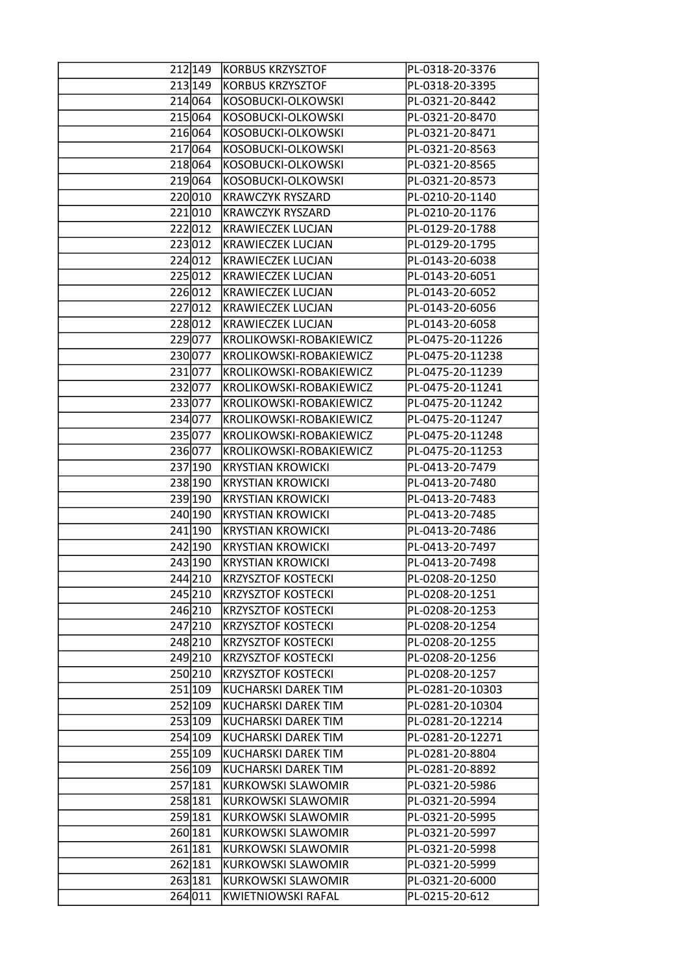| 212 149 | KORBUS KRZYSZTOF           | PL-0318-20-3376  |
|---------|----------------------------|------------------|
| 213 149 | <b>KORBUS KRZYSZTOF</b>    | PL-0318-20-3395  |
| 214 064 | KOSOBUCKI-OLKOWSKI         | PL-0321-20-8442  |
| 215 064 | KOSOBUCKI-OLKOWSKI         | PL-0321-20-8470  |
| 216064  | KOSOBUCKI-OLKOWSKI         | PL-0321-20-8471  |
| 217 064 | KOSOBUCKI-OLKOWSKI         | PL-0321-20-8563  |
| 218064  | KOSOBUCKI-OLKOWSKI         | PL-0321-20-8565  |
| 219064  | KOSOBUCKI-OLKOWSKI         | PL-0321-20-8573  |
| 220010  | <b>KRAWCZYK RYSZARD</b>    | PL-0210-20-1140  |
| 221010  | <b>KRAWCZYK RYSZARD</b>    | PL-0210-20-1176  |
| 222012  | <b>KRAWIECZEK LUCJAN</b>   | PL-0129-20-1788  |
| 223012  | <b>KRAWIECZEK LUCJAN</b>   | PL-0129-20-1795  |
| 224012  | <b>KRAWIECZEK LUCJAN</b>   | PL-0143-20-6038  |
| 225012  | KRAWIECZEK LUCJAN          | PL-0143-20-6051  |
| 226012  | <b>KRAWIECZEK LUCJAN</b>   | PL-0143-20-6052  |
| 227012  | <b>KRAWIECZEK LUCJAN</b>   | PL-0143-20-6056  |
| 228012  | KRAWIECZEK LUCJAN          | PL-0143-20-6058  |
| 229 077 | KROLIKOWSKI-ROBAKIEWICZ    | PL-0475-20-11226 |
| 230077  | KROLIKOWSKI-ROBAKIEWICZ    | PL-0475-20-11238 |
| 231077  | KROLIKOWSKI-ROBAKIEWICZ    | PL-0475-20-11239 |
| 232077  | KROLIKOWSKI-ROBAKIEWICZ    | PL-0475-20-11241 |
| 233077  | KROLIKOWSKI-ROBAKIEWICZ    | PL-0475-20-11242 |
| 234 077 | KROLIKOWSKI-ROBAKIEWICZ    | PL-0475-20-11247 |
| 235 077 | KROLIKOWSKI-ROBAKIEWICZ    | PL-0475-20-11248 |
| 236 077 | KROLIKOWSKI-ROBAKIEWICZ    | PL-0475-20-11253 |
| 237 190 | <b>KRYSTIAN KROWICKI</b>   | PL-0413-20-7479  |
| 238 190 | KRYSTIAN KROWICKI          | PL-0413-20-7480  |
| 239 190 | <b>KRYSTIAN KROWICKI</b>   | PL-0413-20-7483  |
| 240 190 | <b>KRYSTIAN KROWICKI</b>   | PL-0413-20-7485  |
| 241 190 | <b>KRYSTIAN KROWICKI</b>   | PL-0413-20-7486  |
| 242 190 | <b>KRYSTIAN KROWICKI</b>   | PL-0413-20-7497  |
| 243 190 | <b>KRYSTIAN KROWICKI</b>   | PL-0413-20-7498  |
| 244210  | <b>KRZYSZTOF KOSTECKI</b>  | PL-0208-20-1250  |
| 245 210 | <b>KRZYSZTOF KOSTECKI</b>  | PL-0208-20-1251  |
| 246 210 | KRZYSZTOF KOSTECKI         | PL-0208-20-1253  |
| 247 210 | <b>KRZYSZTOF KOSTECKI</b>  | PL-0208-20-1254  |
| 248 210 | KRZYSZTOF KOSTECKI         | PL-0208-20-1255  |
| 249210  | <b>KRZYSZTOF KOSTECKI</b>  | PL-0208-20-1256  |
| 250210  | <b>KRZYSZTOF KOSTECKI</b>  | PL-0208-20-1257  |
| 251 109 | KUCHARSKI DAREK TIM        | PL-0281-20-10303 |
| 252 109 | KUCHARSKI DAREK TIM        | PL-0281-20-10304 |
| 253 109 | <b>KUCHARSKI DAREK TIM</b> | PL-0281-20-12214 |
| 254 109 | KUCHARSKI DAREK TIM        | PL-0281-20-12271 |
| 255 109 | KUCHARSKI DAREK TIM        | PL-0281-20-8804  |
| 256 109 | KUCHARSKI DAREK TIM        | PL-0281-20-8892  |
| 257 181 | KURKOWSKI SLAWOMIR         | PL-0321-20-5986  |
| 258 181 | KURKOWSKI SLAWOMIR         | PL-0321-20-5994  |
| 259 181 | <b>KURKOWSKI SLAWOMIR</b>  | PL-0321-20-5995  |
| 260 181 | <b>KURKOWSKI SLAWOMIR</b>  | PL-0321-20-5997  |
| 261 181 | <b>KURKOWSKI SLAWOMIR</b>  | PL-0321-20-5998  |
| 262 181 | KURKOWSKI SLAWOMIR         | PL-0321-20-5999  |
| 263 181 | <b>KURKOWSKI SLAWOMIR</b>  | PL-0321-20-6000  |
| 264 011 | <b>KWIETNIOWSKI RAFAL</b>  | PL-0215-20-612   |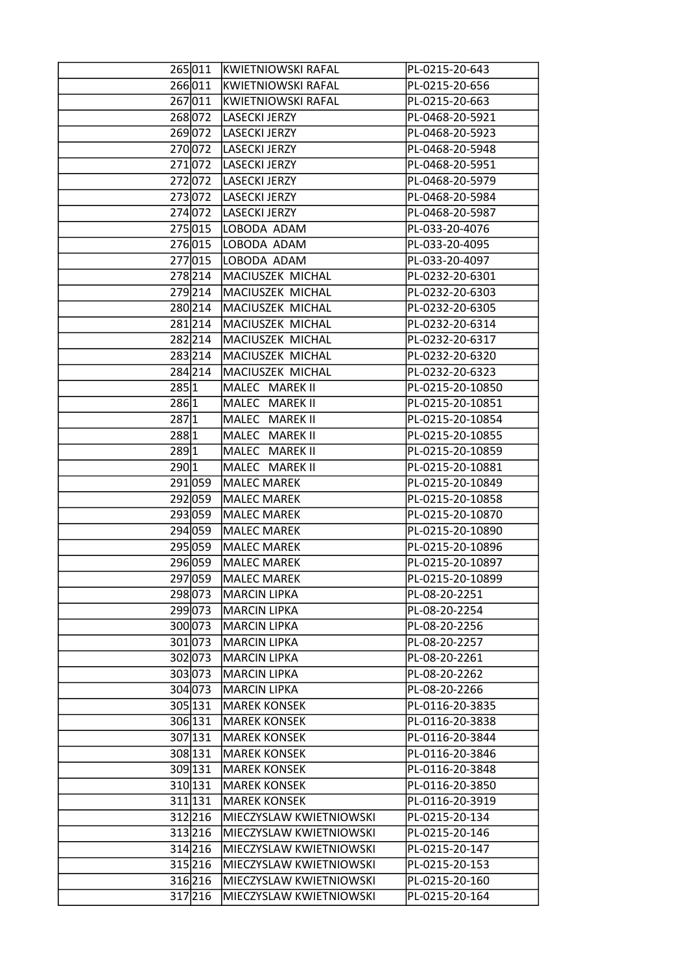|       |         | 265011 KWIETNIOWSKI RAFAL | PL-0215-20-643   |
|-------|---------|---------------------------|------------------|
|       | 266011  | <b>KWIETNIOWSKI RAFAL</b> | PL-0215-20-656   |
|       | 267011  | <b>KWIETNIOWSKI RAFAL</b> | PL-0215-20-663   |
|       | 268072  | <b>LASECKI JERZY</b>      | PL-0468-20-5921  |
|       | 269072  | LASECKI JERZY             | PL-0468-20-5923  |
|       | 270072  | LASECKI JERZY             | PL-0468-20-5948  |
|       | 271072  | LASECKI JERZY             | PL-0468-20-5951  |
|       | 272072  | LASECKI JERZY             | PL-0468-20-5979  |
|       | 273072  | LASECKI JERZY             | PL-0468-20-5984  |
|       | 274 072 | LASECKI JERZY             | PL-0468-20-5987  |
|       | 275015  | LOBODA ADAM               | PL-033-20-4076   |
|       | 276015  | LOBODA ADAM               | PL-033-20-4095   |
|       | 277015  | LOBODA ADAM               | PL-033-20-4097   |
|       | 278214  | MACIUSZEK MICHAL          | PL-0232-20-6301  |
|       | 279214  | MACIUSZEK MICHAL          | PL-0232-20-6303  |
|       |         |                           |                  |
|       | 280214  | MACIUSZEK MICHAL          | PL-0232-20-6305  |
|       | 281214  | MACIUSZEK MICHAL          | PL-0232-20-6314  |
|       | 282214  | MACIUSZEK MICHAL          | PL-0232-20-6317  |
|       | 283214  | MACIUSZEK MICHAL          | PL-0232-20-6320  |
|       | 284 214 | MACIUSZEK MICHAL          | PL-0232-20-6323  |
| 285 1 |         | MALEC MAREK II            | PL-0215-20-10850 |
| 2861  |         | MALEC MAREK II            | PL-0215-20-10851 |
| 287 1 |         | MALEC MAREK II            | PL-0215-20-10854 |
| 288 1 |         | MALEC MAREK II            | PL-0215-20-10855 |
| 289 1 |         | MALEC MAREK II            | PL-0215-20-10859 |
| 290 1 |         | MALEC MAREK II            | PL-0215-20-10881 |
|       | 291 059 | MALEC MAREK               | PL-0215-20-10849 |
|       | 292 059 | MALEC MAREK               | PL-0215-20-10858 |
|       | 293 059 | <b>MALEC MAREK</b>        | PL-0215-20-10870 |
|       | 294 059 | MALEC MAREK               | PL-0215-20-10890 |
|       | 295 059 | MALEC MAREK               | PL-0215-20-10896 |
|       | 296 059 | MALEC MAREK               | PL-0215-20-10897 |
|       | 297059  | MALEC MAREK               | PL-0215-20-10899 |
|       | 298 073 | <b>MARCIN LIPKA</b>       | PL-08-20-2251    |
|       | 299 073 | MARCIN LIPKA              | PL-08-20-2254    |
|       | 300 073 | MARCIN LIPKA              | PL-08-20-2256    |
|       | 301 073 | <b>MARCIN LIPKA</b>       | PL-08-20-2257    |
|       | 302 073 | MARCIN LIPKA              | PL-08-20-2261    |
|       | 303073  | <b>MARCIN LIPKA</b>       | PL-08-20-2262    |
|       | 304 073 | <b>MARCIN LIPKA</b>       | PL-08-20-2266    |
|       | 305 131 | <b>MAREK KONSEK</b>       | PL-0116-20-3835  |
|       | 306 131 | lMAREK KONSEK             | PL-0116-20-3838  |
|       | 307 131 | <b>MAREK KONSEK</b>       | PL-0116-20-3844  |
|       | 308 131 | <b>MAREK KONSEK</b>       | PL-0116-20-3846  |
|       | 309 131 | <b>MAREK KONSEK</b>       | PL-0116-20-3848  |
|       | 310 131 | <b>MAREK KONSEK</b>       | PL-0116-20-3850  |
|       | 311 131 | <b>MAREK KONSEK</b>       | PL-0116-20-3919  |
|       | 312 216 | MIECZYSLAW KWIETNIOWSKI   | PL-0215-20-134   |
|       | 313 216 | MIECZYSLAW KWIETNIOWSKI   | PL-0215-20-146   |
|       | 314 216 | MIECZYSLAW KWIETNIOWSKI   | PL-0215-20-147   |
|       | 315 216 | MIECZYSLAW KWIETNIOWSKI   | PL-0215-20-153   |
|       | 316 216 | MIECZYSLAW KWIETNIOWSKI   | PL-0215-20-160   |
|       | 317 216 | MIECZYSLAW KWIETNIOWSKI   | PL-0215-20-164   |
|       |         |                           |                  |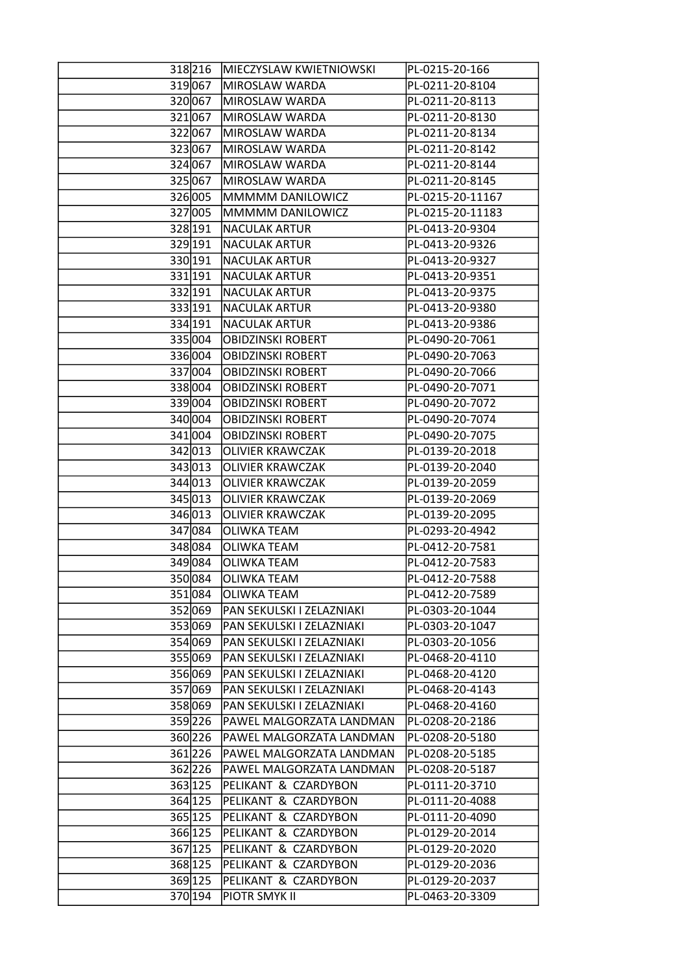| 318 216 | MIECZYSLAW KWIETNIOWSKI   | PL-0215-20-166   |
|---------|---------------------------|------------------|
| 319 067 | MIROSLAW WARDA            | PL-0211-20-8104  |
| 320067  | MIROSLAW WARDA            | PL-0211-20-8113  |
| 321067  | MIROSLAW WARDA            | PL-0211-20-8130  |
| 322067  | MIROSLAW WARDA            | PL-0211-20-8134  |
| 323067  | MIROSLAW WARDA            | PL-0211-20-8142  |
| 324 067 | MIROSLAW WARDA            | PL-0211-20-8144  |
| 325 067 | MIROSLAW WARDA            | PL-0211-20-8145  |
| 326005  | MMMMM DANILOWICZ          | PL-0215-20-11167 |
| 327 005 | MMMMM DANILOWICZ          | PL-0215-20-11183 |
| 328 191 | <b>NACULAK ARTUR</b>      | PL-0413-20-9304  |
| 329 191 | NACULAK ARTUR             | PL-0413-20-9326  |
| 330 191 | <b>NACULAK ARTUR</b>      | PL-0413-20-9327  |
| 331 191 | NACULAK ARTUR             | PL-0413-20-9351  |
| 332 191 | <b>NACULAK ARTUR</b>      | PL-0413-20-9375  |
| 333 191 | <b>NACULAK ARTUR</b>      | PL-0413-20-9380  |
| 334 191 | <b>NACULAK ARTUR</b>      | PL-0413-20-9386  |
| 335 004 | <b>OBIDZINSKI ROBERT</b>  | PL-0490-20-7061  |
| 336 004 | <b>OBIDZINSKI ROBERT</b>  | PL-0490-20-7063  |
| 337004  | OBIDZINSKI ROBERT         | PL-0490-20-7066  |
| 338004  | <b>OBIDZINSKI ROBERT</b>  | PL-0490-20-7071  |
| 339004  | <b>OBIDZINSKI ROBERT</b>  | PL-0490-20-7072  |
| 340 004 | <b>OBIDZINSKI ROBERT</b>  | PL-0490-20-7074  |
| 341 004 | <b>OBIDZINSKI ROBERT</b>  | PL-0490-20-7075  |
| 342 013 | <b>OLIVIER KRAWCZAK</b>   | PL-0139-20-2018  |
| 343 013 | <b>OLIVIER KRAWCZAK</b>   | PL-0139-20-2040  |
| 344 013 | <b>OLIVIER KRAWCZAK</b>   | PL-0139-20-2059  |
| 345 013 | <b>OLIVIER KRAWCZAK</b>   | PL-0139-20-2069  |
| 346013  | <b>OLIVIER KRAWCZAK</b>   | PL-0139-20-2095  |
| 347 084 | OLIWKA TEAM               | PL-0293-20-4942  |
| 348 084 | OLIWKA TEAM               | PL-0412-20-7581  |
| 349084  | <b>OLIWKA TEAM</b>        | PL-0412-20-7583  |
| 350084  | <b>OLIWKA TEAM</b>        | PL-0412-20-7588  |
| 351 084 | <b>OLIWKA TEAM</b>        | PL-0412-20-7589  |
| 352 069 | PAN SEKULSKI I ZELAZNIAKI | PL-0303-20-1044  |
| 353069  | PAN SEKULSKI I ZELAZNIAKI | PL-0303-20-1047  |
| 354 069 | PAN SEKULSKI I ZELAZNIAKI | PL-0303-20-1056  |
| 355069  | PAN SEKULSKI I ZELAZNIAKI | PL-0468-20-4110  |
| 356 069 | PAN SEKULSKI I ZELAZNIAKI | PL-0468-20-4120  |
| 357 069 | PAN SEKULSKI I ZELAZNIAKI | PL-0468-20-4143  |
| 358 069 | PAN SEKULSKI I ZELAZNIAKI | PL-0468-20-4160  |
| 359226  | PAWEL MALGORZATA LANDMAN  | PL-0208-20-2186  |
| 360226  | PAWEL MALGORZATA LANDMAN  | PL-0208-20-5180  |
| 361 226 | PAWEL MALGORZATA LANDMAN  | PL-0208-20-5185  |
| 362226  | PAWEL MALGORZATA LANDMAN  | PL-0208-20-5187  |
| 363 125 | PELIKANT & CZARDYBON      | PL-0111-20-3710  |
| 364 125 | PELIKANT & CZARDYBON      | PL-0111-20-4088  |
| 365 125 | PELIKANT & CZARDYBON      | PL-0111-20-4090  |
| 366 125 | PELIKANT & CZARDYBON      | PL-0129-20-2014  |
| 367 125 | PELIKANT & CZARDYBON      | PL-0129-20-2020  |
| 368 125 | PELIKANT & CZARDYBON      | PL-0129-20-2036  |
| 369 125 | PELIKANT & CZARDYBON      | PL-0129-20-2037  |
| 370 194 | PIOTR SMYK II             | PL-0463-20-3309  |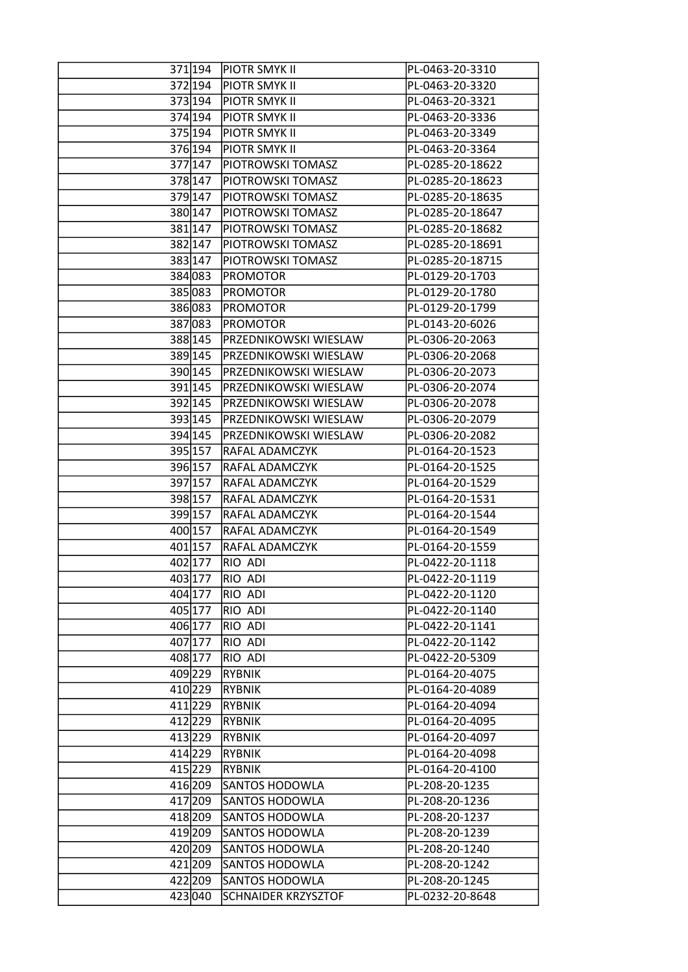|         | 371194 PIOTR SMYK II         | PL-0463-20-3310  |
|---------|------------------------------|------------------|
| 372 194 | <b>PIOTR SMYK II</b>         | PL-0463-20-3320  |
| 373 194 | <b>PIOTR SMYK II</b>         | PL-0463-20-3321  |
| 374 194 | <b>PIOTR SMYK II</b>         | PL-0463-20-3336  |
| 375 194 | <b>PIOTR SMYK II</b>         | PL-0463-20-3349  |
| 376 194 | <b>PIOTR SMYK II</b>         | PL-0463-20-3364  |
| 377 147 | <b>PIOTROWSKI TOMASZ</b>     | PL-0285-20-18622 |
| 378 147 | <b>PIOTROWSKI TOMASZ</b>     | PL-0285-20-18623 |
| 379 147 | <b>PIOTROWSKI TOMASZ</b>     | PL-0285-20-18635 |
| 380 147 | <b>PIOTROWSKI TOMASZ</b>     | PL-0285-20-18647 |
| 381 147 | <b>PIOTROWSKI TOMASZ</b>     | PL-0285-20-18682 |
| 382 147 | <b>PIOTROWSKI TOMASZ</b>     | PL-0285-20-18691 |
| 383 147 | <b>PIOTROWSKI TOMASZ</b>     | PL-0285-20-18715 |
| 384 083 | <b>PROMOTOR</b>              | PL-0129-20-1703  |
| 385 083 | <b>PROMOTOR</b>              | PL-0129-20-1780  |
| 386083  | <b>PROMOTOR</b>              | PL-0129-20-1799  |
| 387 083 | <b>PROMOTOR</b>              | PL-0143-20-6026  |
| 388 145 | <b>PRZEDNIKOWSKI WIESLAW</b> | PL-0306-20-2063  |
| 389 145 | PRZEDNIKOWSKI WIESLAW        | PL-0306-20-2068  |
| 390 145 | PRZEDNIKOWSKI WIESLAW        | PL-0306-20-2073  |
| 391 145 | PRZEDNIKOWSKI WIESLAW        | PL-0306-20-2074  |
| 392 145 | <b>PRZEDNIKOWSKI WIESLAW</b> | PL-0306-20-2078  |
| 393 145 | PRZEDNIKOWSKI WIESLAW        | PL-0306-20-2079  |
| 394 145 | PRZEDNIKOWSKI WIESLAW        | PL-0306-20-2082  |
| 395 157 | <b>RAFAL ADAMCZYK</b>        | PL-0164-20-1523  |
| 396 157 | <b>RAFAL ADAMCZYK</b>        | PL-0164-20-1525  |
| 397 157 | <b>RAFAL ADAMCZYK</b>        | PL-0164-20-1529  |
| 398 157 | <b>RAFAL ADAMCZYK</b>        | PL-0164-20-1531  |
| 399 157 | <b>RAFAL ADAMCZYK</b>        | PL-0164-20-1544  |
| 400 157 | <b>RAFAL ADAMCZYK</b>        | PL-0164-20-1549  |
| 401 157 | <b>RAFAL ADAMCZYK</b>        | PL-0164-20-1559  |
| 402 177 | <b>RIO ADI</b>               | PL-0422-20-1118  |
| 403 177 | RIO ADI                      | PL-0422-20-1119  |
| 404 177 | <b>RIO ADI</b>               | PL-0422-20-1120  |
| 405 177 | RIO ADI                      | PL-0422-20-1140  |
| 406 177 | <b>RIO ADI</b>               | PL-0422-20-1141  |
| 407 177 | <b>RIO ADI</b>               | PL-0422-20-1142  |
| 408 177 | <b>RIO ADI</b>               | PL-0422-20-5309  |
| 409229  | <b>RYBNIK</b>                | PL-0164-20-4075  |
| 410229  | <b>RYBNIK</b>                | PL-0164-20-4089  |
| 411229  | <b>RYBNIK</b>                | PL-0164-20-4094  |
| 412229  | <b>RYBNIK</b>                | PL-0164-20-4095  |
| 413 229 | <b>RYBNIK</b>                | PL-0164-20-4097  |
| 414 229 | <b>RYBNIK</b>                | PL-0164-20-4098  |
| 415 229 | <b>RYBNIK</b>                | PL-0164-20-4100  |
| 416 209 | <b>SANTOS HODOWLA</b>        | PL-208-20-1235   |
| 417 209 | <b>SANTOS HODOWLA</b>        | PL-208-20-1236   |
| 418 209 | <b>SANTOS HODOWLA</b>        | PL-208-20-1237   |
| 419 209 | <b>SANTOS HODOWLA</b>        | PL-208-20-1239   |
| 420 209 | <b>SANTOS HODOWLA</b>        | PL-208-20-1240   |
| 421 209 | <b>SANTOS HODOWLA</b>        | PL-208-20-1242   |
| 422 209 | <b>SANTOS HODOWLA</b>        | PL-208-20-1245   |
| 423040  | <b>SCHNAIDER KRZYSZTOF</b>   | PL-0232-20-8648  |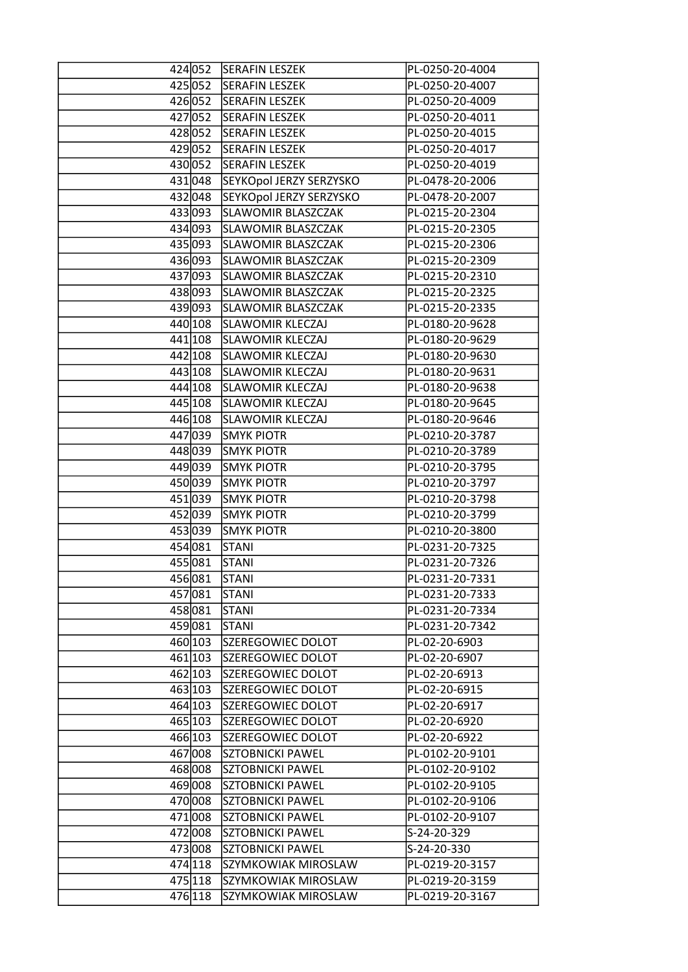|         | 424 052 SERAFIN LESZEK    | PL-0250-20-4004 |
|---------|---------------------------|-----------------|
| 425052  | <b>SERAFIN LESZEK</b>     | PL-0250-20-4007 |
| 426052  | <b>SERAFIN LESZEK</b>     | PL-0250-20-4009 |
| 427 052 | <b>SERAFIN LESZEK</b>     | PL-0250-20-4011 |
| 428 052 | <b>SERAFIN LESZEK</b>     | PL-0250-20-4015 |
| 429052  | <b>SERAFIN LESZEK</b>     | PL-0250-20-4017 |
| 430052  | <b>SERAFIN LESZEK</b>     | PL-0250-20-4019 |
| 431 048 | SEYKOpol JERZY SERZYSKO   | PL-0478-20-2006 |
| 432 048 | SEYKOpol JERZY SERZYSKO   | PL-0478-20-2007 |
| 433093  | <b>SLAWOMIR BLASZCZAK</b> | PL-0215-20-2304 |
| 434 093 | SLAWOMIR BLASZCZAK        | PL-0215-20-2305 |
| 435 093 | <b>SLAWOMIR BLASZCZAK</b> | PL-0215-20-2306 |
| 436 093 | <b>SLAWOMIR BLASZCZAK</b> | PL-0215-20-2309 |
| 437 093 | <b>SLAWOMIR BLASZCZAK</b> | PL-0215-20-2310 |
| 438 093 | <b>SLAWOMIR BLASZCZAK</b> | PL-0215-20-2325 |
| 439093  | <b>SLAWOMIR BLASZCZAK</b> | PL-0215-20-2335 |
| 440 108 | <b>SLAWOMIR KLECZAJ</b>   | PL-0180-20-9628 |
| 441 108 | <b>SLAWOMIR KLECZAJ</b>   | PL-0180-20-9629 |
| 442 108 | <b>SLAWOMIR KLECZAJ</b>   | PL-0180-20-9630 |
| 443 108 | <b>SLAWOMIR KLECZAJ</b>   | PL-0180-20-9631 |
| 444 108 | <b>SLAWOMIR KLECZAJ</b>   | PL-0180-20-9638 |
| 445 108 | <b>SLAWOMIR KLECZAJ</b>   | PL-0180-20-9645 |
| 446 108 | <b>SLAWOMIR KLECZAJ</b>   | PL-0180-20-9646 |
| 447 039 | <b>SMYK PIOTR</b>         | PL-0210-20-3787 |
| 448 039 | <b>SMYK PIOTR</b>         | PL-0210-20-3789 |
| 449 039 | <b>SMYK PIOTR</b>         | PL-0210-20-3795 |
| 450039  | <b>SMYK PIOTR</b>         | PL-0210-20-3797 |
| 451 039 | <b>SMYK PIOTR</b>         | PL-0210-20-3798 |
| 452 039 | <b>SMYK PIOTR</b>         | PL-0210-20-3799 |
| 453039  | <b>SMYK PIOTR</b>         | PL-0210-20-3800 |
| 454 081 | <b>STANI</b>              | PL-0231-20-7325 |
| 455081  | <b>STANI</b>              | PL-0231-20-7326 |
| 456081  | <b>STANI</b>              | PL-0231-20-7331 |
| 457 081 | <b>STANI</b>              | PL-0231-20-7333 |
| 458081  | <b>STANI</b>              | PL-0231-20-7334 |
| 459081  | <b>STANI</b>              | PL-0231-20-7342 |
| 460 103 | SZEREGOWIEC DOLOT         | PL-02-20-6903   |
| 461 103 | <b>SZEREGOWIEC DOLOT</b>  | PL-02-20-6907   |
| 462 103 | SZEREGOWIEC DOLOT         | PL-02-20-6913   |
| 463 103 | SZEREGOWIEC DOLOT         | PL-02-20-6915   |
| 464 103 | <b>SZEREGOWIEC DOLOT</b>  | PL-02-20-6917   |
| 465 103 | <b>SZEREGOWIEC DOLOT</b>  | PL-02-20-6920   |
| 466 103 | <b>SZEREGOWIEC DOLOT</b>  | PL-02-20-6922   |
| 467008  | SZTOBNICKI PAWEL          | PL-0102-20-9101 |
| 468 008 | <b>SZTOBNICKI PAWEL</b>   | PL-0102-20-9102 |
| 469008  | SZTOBNICKI PAWEL          | PL-0102-20-9105 |
| 470008  | <b>SZTOBNICKI PAWEL</b>   | PL-0102-20-9106 |
| 471008  | <b>SZTOBNICKI PAWEL</b>   | PL-0102-20-9107 |
| 472008  | <b>SZTOBNICKI PAWEL</b>   | S-24-20-329     |
| 473008  | <b>SZTOBNICKI PAWEL</b>   | S-24-20-330     |
| 474 118 | SZYMKOWIAK MIROSLAW       | PL-0219-20-3157 |
| 475 118 | SZYMKOWIAK MIROSLAW       | PL-0219-20-3159 |
| 476 118 | SZYMKOWIAK MIROSLAW       | PL-0219-20-3167 |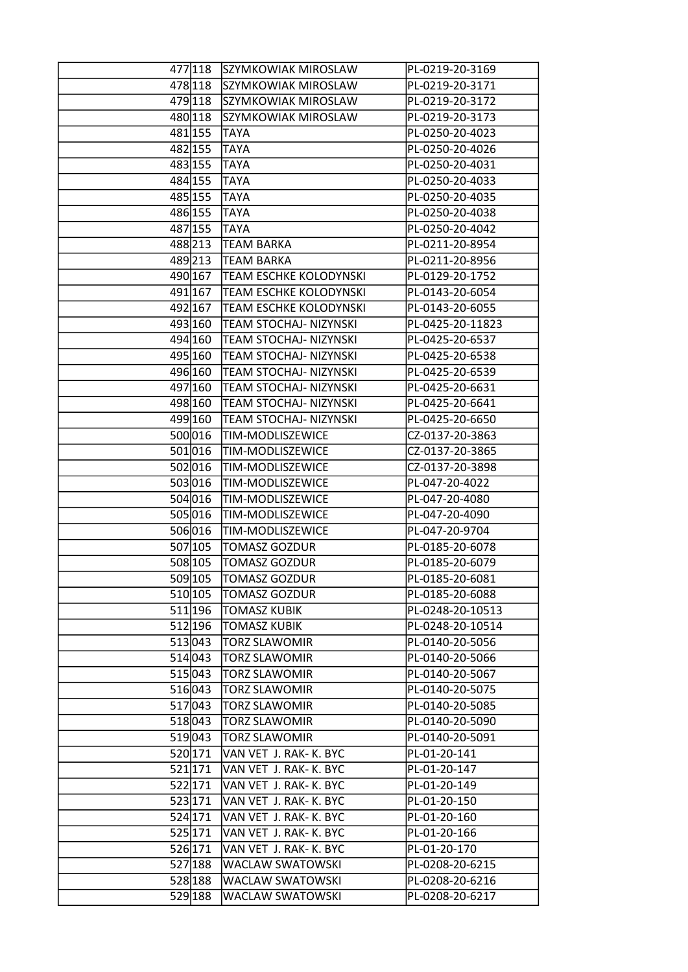|         | 477 118 | SZYMKOWIAK MIROSLAW           | PL-0219-20-3169  |
|---------|---------|-------------------------------|------------------|
|         | 478 118 | SZYMKOWIAK MIROSLAW           | PL-0219-20-3171  |
| 479 118 |         | SZYMKOWIAK MIROSLAW           | PL-0219-20-3172  |
|         | 480 118 | SZYMKOWIAK MIROSLAW           | PL-0219-20-3173  |
| 481 155 |         | <b>TAYA</b>                   | PL-0250-20-4023  |
| 482 155 |         | <b>TAYA</b>                   | PL-0250-20-4026  |
| 483 155 |         | <b>TAYA</b>                   | PL-0250-20-4031  |
| 484 155 |         | <b>TAYA</b>                   | PL-0250-20-4033  |
| 485 155 |         | <b>TAYA</b>                   | PL-0250-20-4035  |
| 486 155 |         | <b>TAYA</b>                   | PL-0250-20-4038  |
| 487 155 |         | <b>TAYA</b>                   | PL-0250-20-4042  |
|         | 488213  | <b>TEAM BARKA</b>             | PL-0211-20-8954  |
|         | 489213  | <b>TEAM BARKA</b>             | PL-0211-20-8956  |
|         | 490 167 | <b>TEAM ESCHKE KOLODYNSKI</b> | PL-0129-20-1752  |
|         | 491 167 | <b>TEAM ESCHKE KOLODYNSKI</b> | PL-0143-20-6054  |
|         | 492 167 | <b>TEAM ESCHKE KOLODYNSKI</b> | PL-0143-20-6055  |
|         |         |                               | PL-0425-20-11823 |
|         | 493 160 | <b>TEAM STOCHAJ- NIZYNSKI</b> |                  |
| 494 160 |         | TEAM STOCHAJ- NIZYNSKI        | PL-0425-20-6537  |
|         | 495 160 | <b>TEAM STOCHAJ- NIZYNSKI</b> | PL-0425-20-6538  |
| 496 160 |         | <b>TEAM STOCHAJ- NIZYNSKI</b> | PL-0425-20-6539  |
| 497 160 |         | TEAM STOCHAJ- NIZYNSKI        | PL-0425-20-6631  |
|         | 498 160 | <b>TEAM STOCHAJ- NIZYNSKI</b> | PL-0425-20-6641  |
| 499 160 |         | TEAM STOCHAJ- NIZYNSKI        | PL-0425-20-6650  |
| 500016  |         | <b>TIM-MODLISZEWICE</b>       | CZ-0137-20-3863  |
| 501 016 |         | TIM-MODLISZEWICE              | CZ-0137-20-3865  |
|         | 502 016 | <b>TIM-MODLISZEWICE</b>       | CZ-0137-20-3898  |
| 503016  |         | <b>TIM-MODLISZEWICE</b>       | PL-047-20-4022   |
| 504 016 |         | <b>TIM-MODLISZEWICE</b>       | PL-047-20-4080   |
|         | 505016  | <b>TIM-MODLISZEWICE</b>       | PL-047-20-4090   |
| 506016  |         | <b>TIM-MODLISZEWICE</b>       | PL-047-20-9704   |
| 507 105 |         | <b>TOMASZ GOZDUR</b>          | PL-0185-20-6078  |
| 508 105 |         | <b>TOMASZ GOZDUR</b>          | PL-0185-20-6079  |
|         | 509 105 | <b>TOMASZ GOZDUR</b>          | PL-0185-20-6081  |
|         | 510 105 | <b>TOMASZ GOZDUR</b>          | PL-0185-20-6088  |
|         | 511 196 | <b>TOMASZ KUBIK</b>           | PL-0248-20-10513 |
|         | 512 196 | <b>TOMASZ KUBIK</b>           | PL-0248-20-10514 |
|         | 513043  | TORZ SLAWOMIR                 | PL-0140-20-5056  |
|         | 514 043 | TORZ SLAWOMIR                 | PL-0140-20-5066  |
|         | 515 043 | <b>TORZ SLAWOMIR</b>          | PL-0140-20-5067  |
|         | 516043  | <b>TORZ SLAWOMIR</b>          | PL-0140-20-5075  |
|         | 517043  | <b>TORZ SLAWOMIR</b>          | PL-0140-20-5085  |
|         | 518043  | TORZ SLAWOMIR                 | PL-0140-20-5090  |
|         | 519043  | <b>TORZ SLAWOMIR</b>          | PL-0140-20-5091  |
|         | 520 171 | VAN VET J. RAK- K. BYC        | PL-01-20-141     |
|         | 521 171 | VAN VET J. RAK- K. BYC        | PL-01-20-147     |
|         | 522 171 | VAN VET J. RAK- K. BYC        | PL-01-20-149     |
|         | 523 171 | VAN VET J. RAK- K. BYC        | PL-01-20-150     |
|         | 524 171 | VAN VET J. RAK- K. BYC        | PL-01-20-160     |
| 525 171 |         | VAN VET J. RAK- K. BYC        | PL-01-20-166     |
|         | 526 171 | VAN VET J. RAK- K. BYC        | PL-01-20-170     |
|         | 527 188 | WACLAW SWATOWSKI              | PL-0208-20-6215  |
|         | 528 188 | <b>WACLAW SWATOWSKI</b>       | PL-0208-20-6216  |
|         | 529 188 | <b>WACLAW SWATOWSKI</b>       | PL-0208-20-6217  |
|         |         |                               |                  |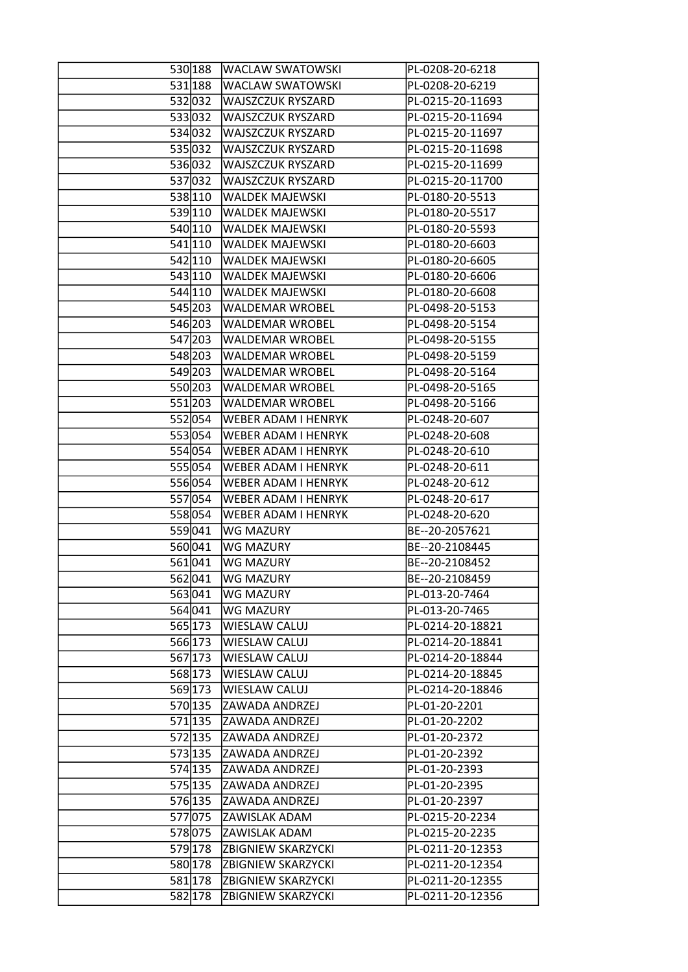| 530 188 | <b>WACLAW SWATOWSKI</b>    | PL-0208-20-6218  |
|---------|----------------------------|------------------|
| 531 188 | <b>WACLAW SWATOWSKI</b>    | PL-0208-20-6219  |
| 532 032 | <b>WAJSZCZUK RYSZARD</b>   | PL-0215-20-11693 |
| 533032  | <b>WAJSZCZUK RYSZARD</b>   | PL-0215-20-11694 |
| 534 032 | WAJSZCZUK RYSZARD          | PL-0215-20-11697 |
| 535032  | <b>WAJSZCZUK RYSZARD</b>   | PL-0215-20-11698 |
| 536032  | <b>WAJSZCZUK RYSZARD</b>   | PL-0215-20-11699 |
| 537032  | <b>WAJSZCZUK RYSZARD</b>   | PL-0215-20-11700 |
| 538 110 | <b>WALDEK MAJEWSKI</b>     | PL-0180-20-5513  |
| 539 110 | <b>WALDEK MAJEWSKI</b>     | PL-0180-20-5517  |
| 540 110 | <b>WALDEK MAJEWSKI</b>     | PL-0180-20-5593  |
| 541 110 | <b>WALDEK MAJEWSKI</b>     | PL-0180-20-6603  |
| 542 110 | <b>WALDEK MAJEWSKI</b>     | PL-0180-20-6605  |
| 543 110 | <b>WALDEK MAJEWSKI</b>     | PL-0180-20-6606  |
| 544 110 | <b>WALDEK MAJEWSKI</b>     | PL-0180-20-6608  |
|         |                            |                  |
| 545 203 | <b>WALDEMAR WROBEL</b>     | PL-0498-20-5153  |
| 546 203 | <b>WALDEMAR WROBEL</b>     | PL-0498-20-5154  |
| 547 203 | <b>WALDEMAR WROBEL</b>     | PL-0498-20-5155  |
| 548 203 | <b>WALDEMAR WROBEL</b>     | PL-0498-20-5159  |
| 549 203 | <b>WALDEMAR WROBEL</b>     | PL-0498-20-5164  |
| 550 203 | <b>WALDEMAR WROBEL</b>     | PL-0498-20-5165  |
| 551 203 | <b>WALDEMAR WROBEL</b>     | PL-0498-20-5166  |
| 552054  | <b>WEBER ADAM I HENRYK</b> | PL-0248-20-607   |
| 553054  | <b>WEBER ADAM I HENRYK</b> | PL-0248-20-608   |
| 554 054 | <b>WEBER ADAM I HENRYK</b> | PL-0248-20-610   |
| 555054  | <b>WEBER ADAM I HENRYK</b> | PL-0248-20-611   |
| 556054  | <b>WEBER ADAM I HENRYK</b> | PL-0248-20-612   |
| 557054  | <b>WEBER ADAM I HENRYK</b> | PL-0248-20-617   |
| 558054  | <b>WEBER ADAM I HENRYK</b> | PL-0248-20-620   |
| 559041  | <b>WG MAZURY</b>           | BE--20-2057621   |
| 560 041 | <b>WG MAZURY</b>           | BE--20-2108445   |
| 561041  | WG MAZURY                  | BE--20-2108452   |
| 562041  | <b>WG MAZURY</b>           | BE--20-2108459   |
| 563041  | <b>WG MAZURY</b>           | PL-013-20-7464   |
| 564 041 | <b>WG MAZURY</b>           | PL-013-20-7465   |
| 565 173 | <b>WIESLAW CALUJ</b>       | PL-0214-20-18821 |
| 566 173 | <b>WIESLAW CALUJ</b>       | PL-0214-20-18841 |
| 567 173 | <b>WIESLAW CALUJ</b>       | PL-0214-20-18844 |
| 568 173 | <b>WIESLAW CALUJ</b>       | PL-0214-20-18845 |
| 569 173 | <b>WIESLAW CALUJ</b>       | PL-0214-20-18846 |
| 570 135 | <b>ZAWADA ANDRZEJ</b>      | PL-01-20-2201    |
| 571 135 | <b>ZAWADA ANDRZEJ</b>      | PL-01-20-2202    |
| 572 135 | <b>ZAWADA ANDRZEJ</b>      | PL-01-20-2372    |
| 573 135 | <b>ZAWADA ANDRZEJ</b>      | PL-01-20-2392    |
| 574 135 | <b>ZAWADA ANDRZEJ</b>      | PL-01-20-2393    |
|         | 575 135 ZAWADA ANDRZEJ     | PL-01-20-2395    |
| 576 135 | <b>ZAWADA ANDRZEJ</b>      | PL-01-20-2397    |
| 577075  | <b>ZAWISLAK ADAM</b>       | PL-0215-20-2234  |
|         | 578075 ZAWISLAK ADAM       | PL-0215-20-2235  |
| 579 178 | <b>ZBIGNIEW SKARZYCKI</b>  | PL-0211-20-12353 |
| 580 178 | <b>ZBIGNIEW SKARZYCKI</b>  | PL-0211-20-12354 |
|         | <b>ZBIGNIEW SKARZYCKI</b>  |                  |
| 581 178 |                            | PL-0211-20-12355 |
| 582 178 | <b>ZBIGNIEW SKARZYCKI</b>  | PL-0211-20-12356 |